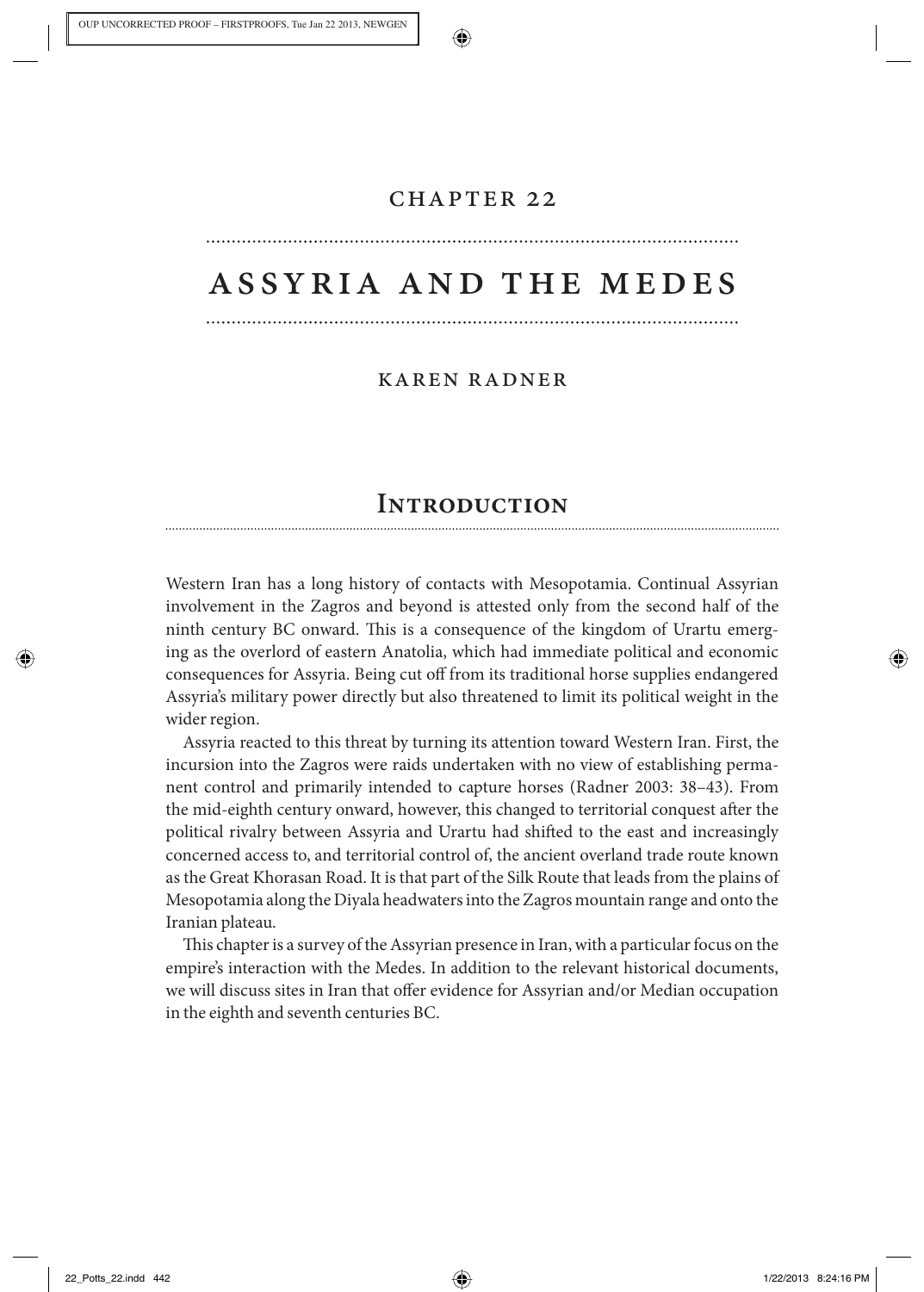### chapter 22

# assyria and the medes

### karen radner

## **Introduction**

 Western Iran has a long history of contacts with Mesopotamia. Continual Assyrian involvement in the Zagros and beyond is attested only from the second half of the ninth century BC onward. This is a consequence of the kingdom of Urartu emerging as the overlord of eastern Anatolia, which had immediate political and economic consequences for Assyria. Being cut off from its traditional horse supplies endangered Assyria's military power directly but also threatened to limit its political weight in the wider region.

 Assyria reacted to this threat by turning its attention toward Western Iran. First, the incursion into the Zagros were raids undertaken with no view of establishing permanent control and primarily intended to capture horses (Radner 2003: 38–43). From the mid-eighth century onward, however, this changed to territorial conquest after the political rivalry between Assyria and Urartu had shifted to the east and increasingly concerned access to, and territorial control of, the ancient overland trade route known as the Great Khorasan Road. It is that part of the Silk Route that leads from the plains of Mesopotamia along the Diyala headwaters into the Zagros mountain range and onto the Iranian plateau.

This chapter is a survey of the Assyrian presence in Iran, with a particular focus on the empire's interaction with the Medes. In addition to the relevant historical documents, we will discuss sites in Iran that offer evidence for Assyrian and/or Median occupation in the eighth and seventh centuries BC.

22\_Potts\_22.indd 442 22.2013 8:24:16 PM /22/2013 8:24:16 PM /22/2013 8:24:16 PM /22/2013 8:24:16 PM /22/2013 8:24:16 PM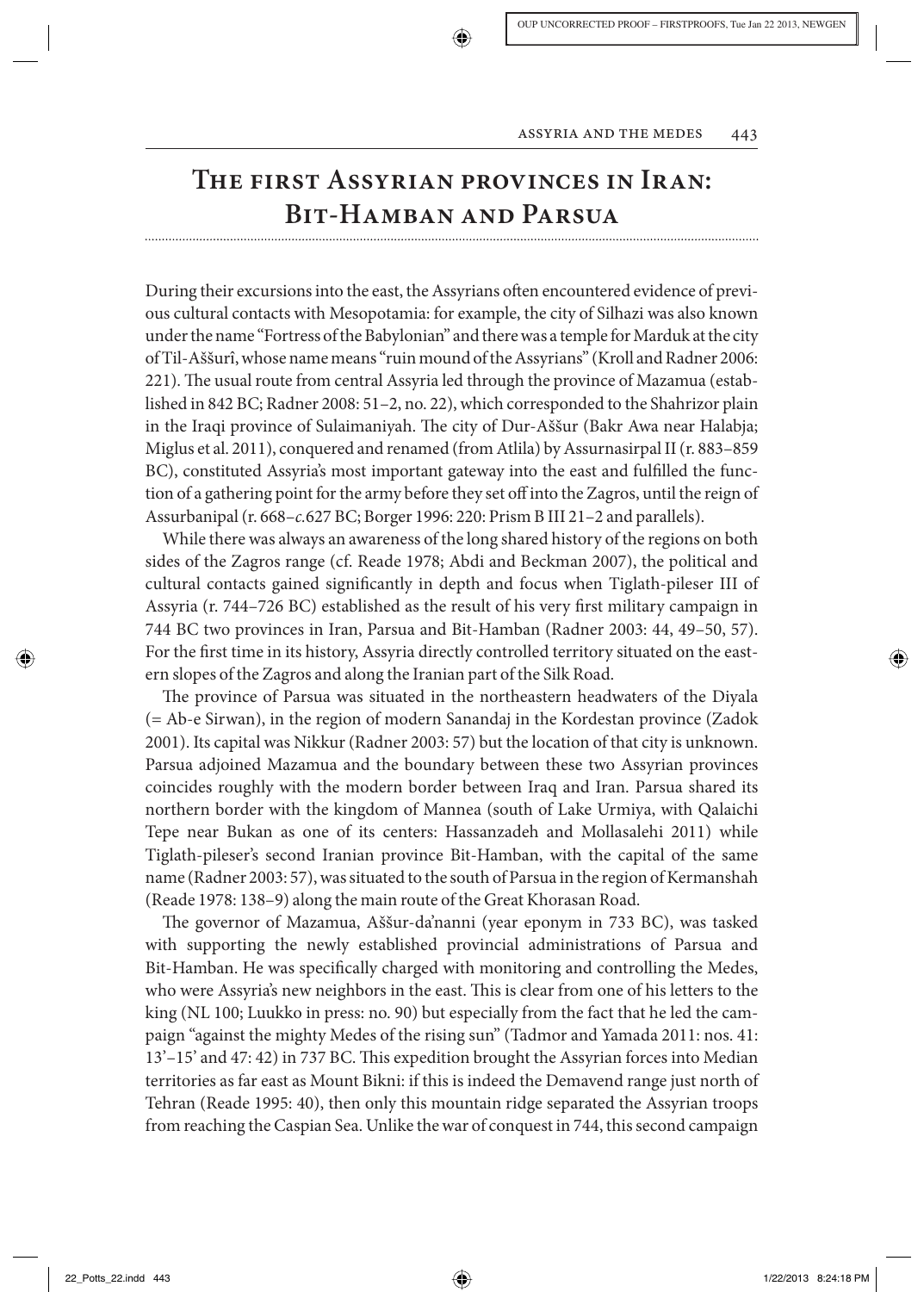

# **The first Assyrian provinces in Iran: Bit-Hamban and Parsua**

During their excursions into the east, the Assyrians often encountered evidence of previous cultural contacts with Mesopotamia: for example, the city of Silhazi was also known under the name "Fortress of the Babylonian" and there was a temple for Marduk at the city of Til-Aššurî, whose name means "ruin mound of the Assyrians" (Kroll and Radner 2006: 221). The usual route from central Assyria led through the province of Mazamua (established in 842 BC; Radner 2008: 51–2, no. 22), which corresponded to the Shahrizor plain in the Iraqi province of Sulaimaniyah. The city of Dur-Aššur (Bakr Awa near Halabja; Miglus et al. 2011), conquered and renamed (from Atlila) by Assurnasirpal II (r. 883–859 BC), constituted Assyria's most important gateway into the east and fulfilled the function of a gathering point for the army before they set off into the Zagros, until the reign of Assurbanipal (r. 668– *c.* 627 BC; Borger 1996: 220: Prism B III 21–2 and parallels).

 While there was always an awareness of the long shared history of the regions on both sides of the Zagros range (cf. Reade 1978; Abdi and Beckman 2007), the political and cultural contacts gained significantly in depth and focus when Tiglath-pileser III of Assyria (r. 744–726 BC) established as the result of his very first military campaign in 744 BC two provinces in Iran, Parsua and Bit-Hamban (Radner 2003: 44, 49–50, 57). For the first time in its history, Assyria directly controlled territory situated on the eastern slopes of the Zagros and along the Iranian part of the Silk Road.

The province of Parsua was situated in the northeastern headwaters of the Diyala (= Ab-e Sirwan), in the region of modern Sanandaj in the Kordestan province (Zadok 2001). Its capital was Nikkur (Radner 2003: 57) but the location of that city is unknown. Parsua adjoined Mazamua and the boundary between these two Assyrian provinces coincides roughly with the modern border between Iraq and Iran. Parsua shared its northern border with the kingdom of Mannea (south of Lake Urmiya, with Qalaichi Tepe near Bukan as one of its centers: Hassanzadeh and Mollasalehi 2011) while Tiglath-pileser's second Iranian province Bit-Hamban, with the capital of the same name (Radner 2003: 57), was situated to the south of Parsua in the region of Kermanshah (Reade 1978: 138–9) along the main route of the Great Khorasan Road.

The governor of Mazamua, Aššur-da'nanni (year eponym in 733 BC), was tasked with supporting the newly established provincial administrations of Parsua and Bit-Hamban. He was specifically charged with monitoring and controlling the Medes, who were Assyria's new neighbors in the east. This is clear from one of his letters to the king (NL 100; Luukko in press: no. 90) but especially from the fact that he led the campaign "against the mighty Medes of the rising sun" (Tadmor and Yamada 2011: nos. 41: 13'–15' and 47: 42) in 737 BC. This expedition brought the Assyrian forces into Median territories as far east as Mount Bikni: if this is indeed the Demavend range just north of Tehran (Reade 1995: 40), then only this mountain ridge separated the Assyrian troops from reaching the Caspian Sea. Unlike the war of conquest in 744, this second campaign

↔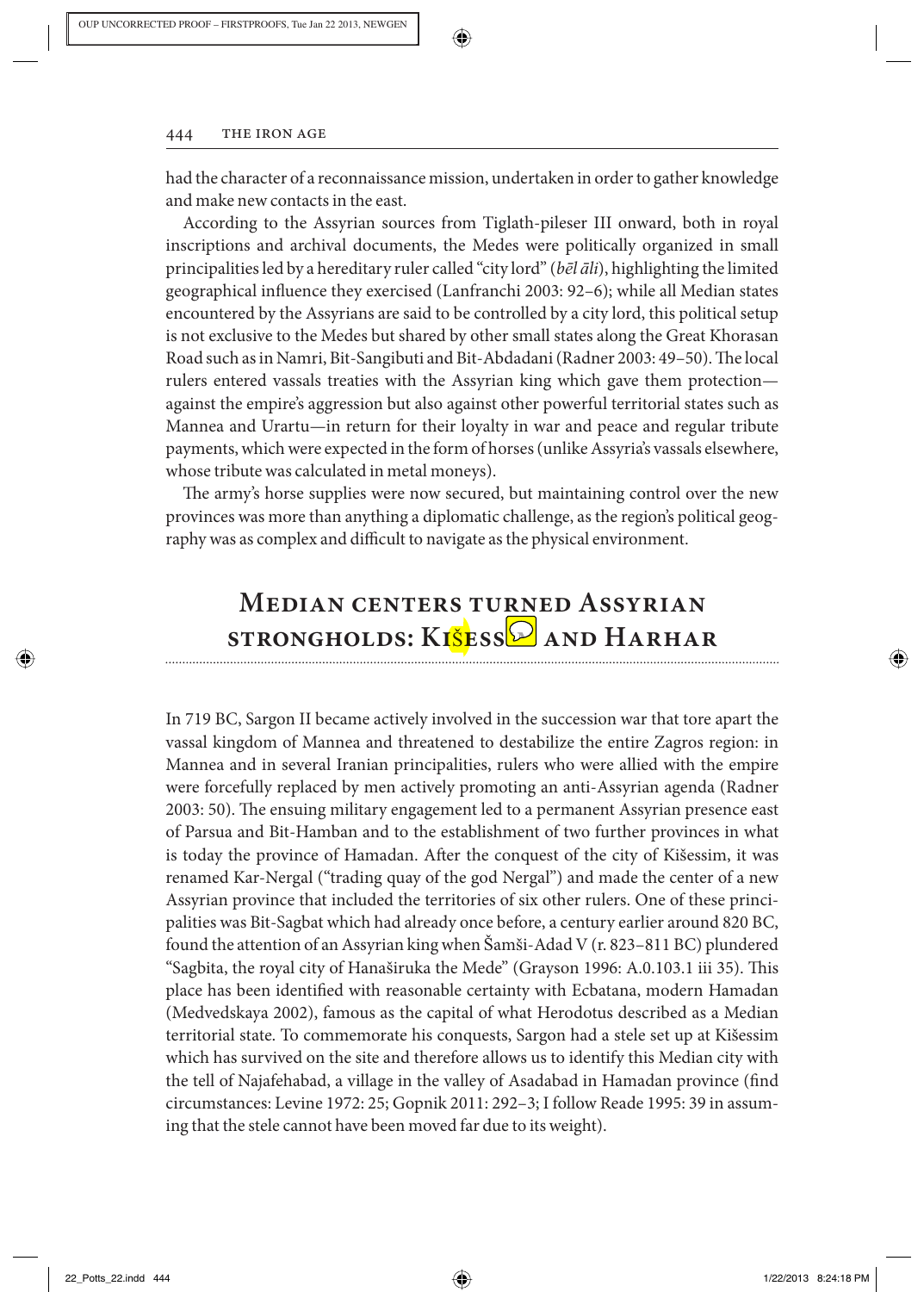

had the character of a reconnaissance mission, undertaken in order to gather knowledge and make new contacts in the east.

 According to the Assyrian sources from Tiglath-pileser III onward, both in royal inscriptions and archival documents, the Medes were politically organized in small principalities led by a hereditary ruler called "city lord" ( *bēl āli* ), highlighting the limited geographical influence they exercised (Lanfranchi 2003: 92–6); while all Median states encountered by the Assyrians are said to be controlled by a city lord, this political setup is not exclusive to the Medes but shared by other small states along the Great Khorasan Road such as in Namri, Bit-Sangibuti and Bit-Abdadani (Radner 2003: 49–50). The local rulers entered vassals treaties with the Assyrian king which gave them protection against the empire's aggression but also against other powerful territorial states such as Mannea and Urartu—in return for their loyalty in war and peace and regular tribute payments, which were expected in the form of horses (unlike Assyria's vassals elsewhere, whose tribute was calculated in metal moneys).

The army's horse supplies were now secured, but maintaining control over the new provinces was more than anything a diplomatic challenge, as the region's political geography was as complex and difficult to navigate as the physical environment.

# **Median centers turned Assyrian strongholds: Ki** Š **essim and Harhar**

 In 719 BC, Sargon II became actively involved in the succession war that tore apart the vassal kingdom of Mannea and threatened to destabilize the entire Zagros region: in Mannea and in several Iranian principalities, rulers who were allied with the empire were forcefully replaced by men actively promoting an anti-Assyrian agenda (Radner 2003: 50). The ensuing military engagement led to a permanent Assyrian presence east of Parsua and Bit-Hamban and to the establishment of two further provinces in what is today the province of Hamadan. After the conquest of the city of Kišessim, it was renamed Kar-Nergal ("trading quay of the god Nergal") and made the center of a new Assyrian province that included the territories of six other rulers. One of these principalities was Bit-Sagbat which had already once before, a century earlier around 820 BC, found the attention of an Assyrian king when Šamši-Adad V (r. 823–811 BC) plundered "Sagbita, the royal city of Hanaširuka the Mede" (Grayson 1996: A.0.103.1 iii 35). This place has been identified with reasonable certainty with Ecbatana, modern Hamadan (Medvedskaya 2002), famous as the capital of what Herodotus described as a Median territorial state. To commemorate his conquests, Sargon had a stele set up at Kišessim which has survived on the site and therefore allows us to identify this Median city with the tell of Najafehabad, a village in the valley of Asadabad in Hamadan province (find circumstances: Levine 1972: 25; Gopnik 2011: 292–3; I follow Reade 1995: 39 in assuming that the stele cannot have been moved far due to its weight).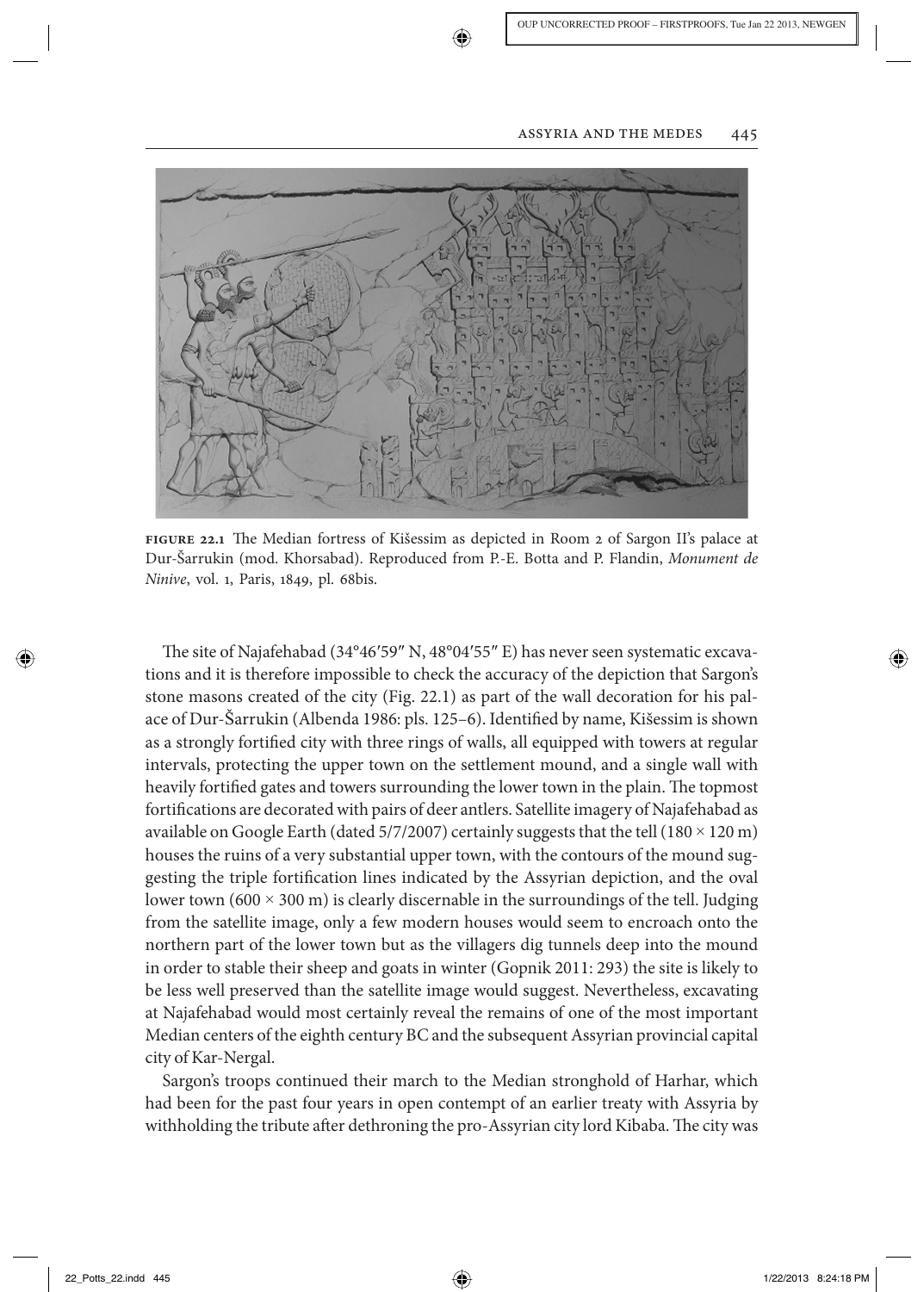

**figure 22.1** The Median fortress of Kišessim as depicted in Room 2 of Sargon II's palace at Dur- Š arrukin (mod. Khorsabad). Reproduced from P.-E. Botta and P. Flandin, *Monument de Ninive* , vol. 1, Paris, 1849, pl. 68bis.

The site of Najafehabad (34°46′59″ N, 48°04′55″ E) has never seen systematic excavations and it is therefore impossible to check the accuracy of the depiction that Sargon's stone masons created of the city (Fig. 22.1) as part of the wall decoration for his palace of Dur-Šarrukin (Albenda 1986: pls. 125–6). Identified by name, Kišessim is shown as a strongly fortified city with three rings of walls, all equipped with towers at regular intervals, protecting the upper town on the settlement mound, and a single wall with heavily fortified gates and towers surrounding the lower town in the plain. The topmost fortifications are decorated with pairs of deer antlers. Satellite imagery of Najafehabad as available on Google Earth (dated 5/7/2007) certainly suggests that the tell (180  $\times$  120 m) houses the ruins of a very substantial upper town, with the contours of the mound suggesting the triple fortification lines indicated by the Assyrian depiction, and the oval lower town  $(600 \times 300 \text{ m})$  is clearly discernable in the surroundings of the tell. Judging from the satellite image, only a few modern houses would seem to encroach onto the northern part of the lower town but as the villagers dig tunnels deep into the mound in order to stable their sheep and goats in winter (Gopnik 2011: 293) the site is likely to be less well preserved than the satellite image would suggest. Nevertheless, excavating at Najafehabad would most certainly reveal the remains of one of the most important Median centers of the eighth century BC and the subsequent Assyrian provincial capital city of Kar-Nergal.

 Sargon's troops continued their march to the Median stronghold of Harhar, which had been for the past four years in open contempt of an earlier treaty with Assyria by withholding the tribute after dethroning the pro-Assyrian city lord Kibaba. The city was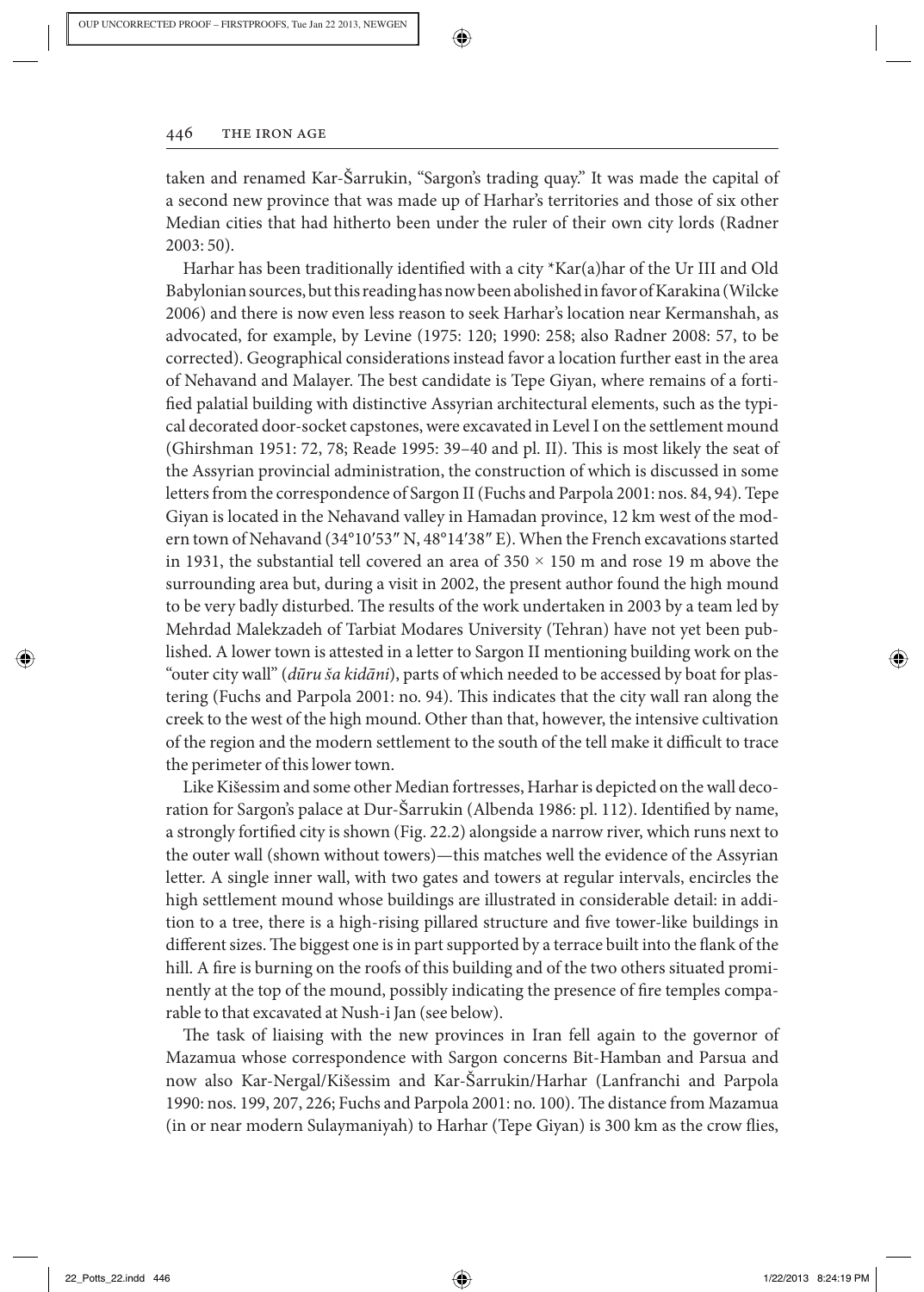

taken and renamed Kar-Šarrukin, "Sargon's trading quay." It was made the capital of a second new province that was made up of Harhar's territories and those of six other Median cities that had hitherto been under the ruler of their own city lords (Radner 2003: 50).

❀

Harhar has been traditionally identified with a city  $*Kar(a)$ har of the Ur III and Old Babylonian sources, but this reading has now been abolished in favor of Karakina (Wilcke 2006) and there is now even less reason to seek Harhar's location near Kermanshah, as advocated, for example, by Levine (1975: 120; 1990: 258; also Radner 2008: 57, to be corrected). Geographical considerations instead favor a location further east in the area of Nehavand and Malayer. The best candidate is Tepe Giyan, where remains of a fortified palatial building with distinctive Assyrian architectural elements, such as the typical decorated door-socket capstones, were excavated in Level I on the settlement mound (Ghirshman 1951: 72, 78; Reade 1995: 39–40 and pl. II). This is most likely the seat of the Assyrian provincial administration, the construction of which is discussed in some letters from the correspondence of Sargon II (Fuchs and Parpola 2001: nos. 84, 94). Tepe Giyan is located in the Nehavand valley in Hamadan province, 12 km west of the modern town of Nehavand (34°10'53" N, 48°14'38" E). When the French excavations started in 1931, the substantial tell covered an area of  $350 \times 150$  m and rose 19 m above the surrounding area but, during a visit in 2002, the present author found the high mound to be very badly disturbed. The results of the work undertaken in 2003 by a team led by Mehrdad Malekzadeh of Tarbiat Modares University (Tehran) have not yet been published. A lower town is attested in a letter to Sargon II mentioning building work on the "outer city wall" ( *dūru ša kidāni* ), parts of which needed to be accessed by boat for plastering (Fuchs and Parpola 2001: no. 94). This indicates that the city wall ran along the creek to the west of the high mound. Other than that, however, the intensive cultivation of the region and the modern settlement to the south of the tell make it difficult to trace the perimeter of this lower town.

Like Kišessim and some other Median fortresses, Harhar is depicted on the wall decoration for Sargon's palace at Dur-Sarrukin (Albenda 1986: pl. 112). Identified by name, a strongly fortified city is shown (Fig. 22.2) alongside a narrow river, which runs next to the outer wall (shown without towers)—this matches well the evidence of the Assyrian letter. A single inner wall, with two gates and towers at regular intervals, encircles the high settlement mound whose buildings are illustrated in considerable detail: in addition to a tree, there is a high-rising pillared structure and five tower-like buildings in different sizes. The biggest one is in part supported by a terrace built into the flank of the hill. A fire is burning on the roofs of this building and of the two others situated prominently at the top of the mound, possibly indicating the presence of fire temples comparable to that excavated at Nush-i Jan (see below).

The task of liaising with the new provinces in Iran fell again to the governor of Mazamua whose correspondence with Sargon concerns Bit-Hamban and Parsua and now also Kar-Nergal/Kišessim and Kar-Šarrukin/Harhar (Lanfranchi and Parpola 1990: nos. 199, 207, 226; Fuchs and Parpola 2001: no. 100). The distance from Mazamua (in or near modern Sulaymaniyah) to Harhar (Tepe Giyan) is 300 km as the crow flies,

⊕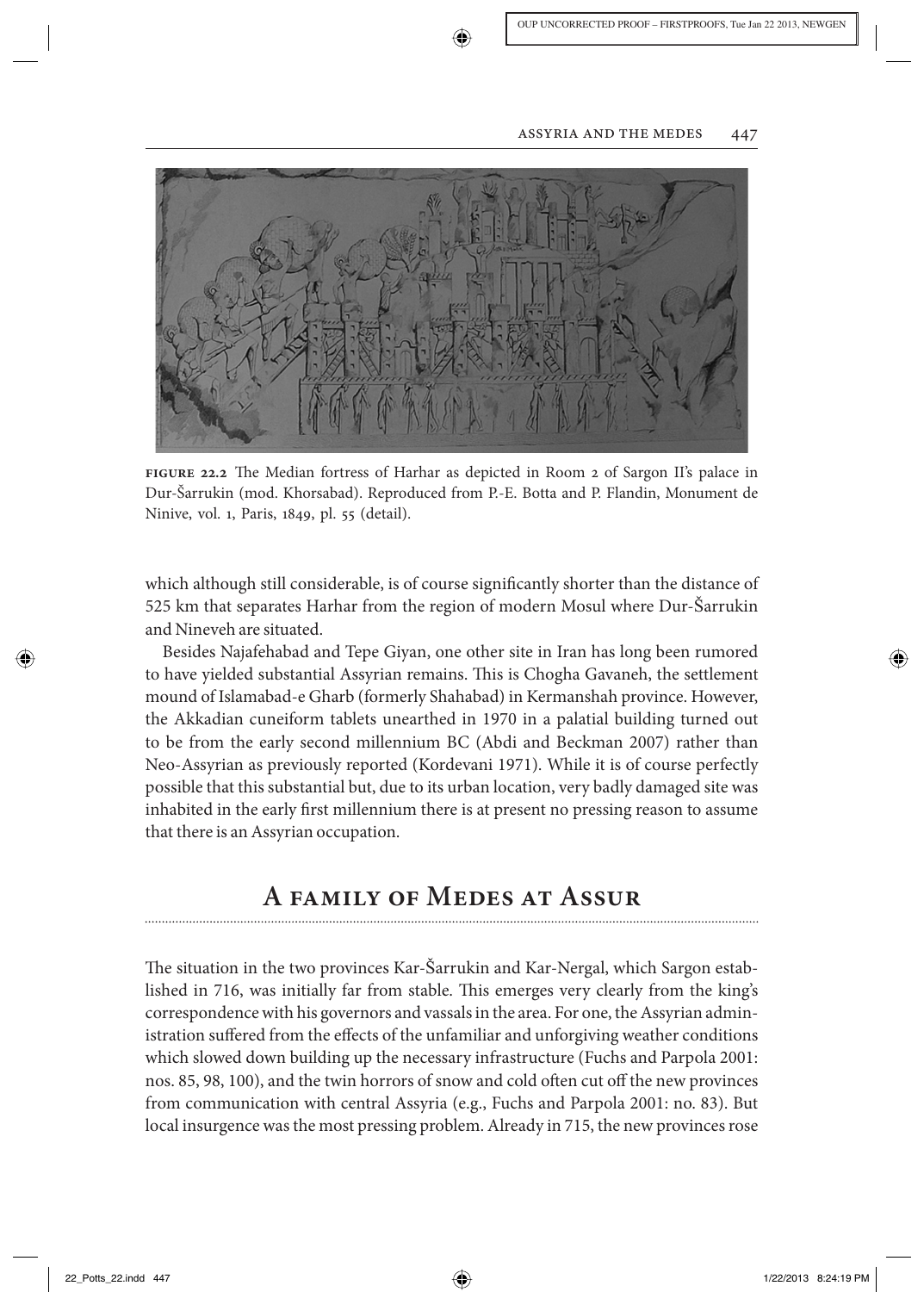

**figure 22.2** The Median fortress of Harhar as depicted in Room 2 of Sargon II's palace in Dur-Šarrukin (mod. Khorsabad). Reproduced from P.-E. Botta and P. Flandin, Monument de Ninive, vol. 1, Paris, 1849, pl. 55 (detail).

which although still considerable, is of course significantly shorter than the distance of 525 km that separates Harhar from the region of modern Mosul where Dur-Sarrukin and Nineveh are situated.

 Besides Najafehabad and Tepe Giyan, one other site in Iran has long been rumored to have yielded substantial Assyrian remains. This is Chogha Gavaneh, the settlement mound of Islamabad-e Gharb (formerly Shahabad) in Kermanshah province. However, the Akkadian cuneiform tablets unearthed in 1970 in a palatial building turned out to be from the early second millennium BC (Abdi and Beckman 2007) rather than Neo-Assyrian as previously reported (Kordevani 1971). While it is of course perfectly possible that this substantial but, due to its urban location, very badly damaged site was inhabited in the early first millennium there is at present no pressing reason to assume that there is an Assyrian occupation.

# **A family of Medes at Assur**

The situation in the two provinces Kar-Šarrukin and Kar-Nergal, which Sargon established in 716, was initially far from stable. This emerges very clearly from the king's correspondence with his governors and vassals in the area. For one, the Assyrian administration suffered from the effects of the unfamiliar and unforgiving weather conditions which slowed down building up the necessary infrastructure (Fuchs and Parpola 2001: nos. 85, 98, 100), and the twin horrors of snow and cold often cut off the new provinces from communication with central Assyria (e.g., Fuchs and Parpola 2001: no. 83). But local insurgence was the most pressing problem. Already in 715, the new provinces rose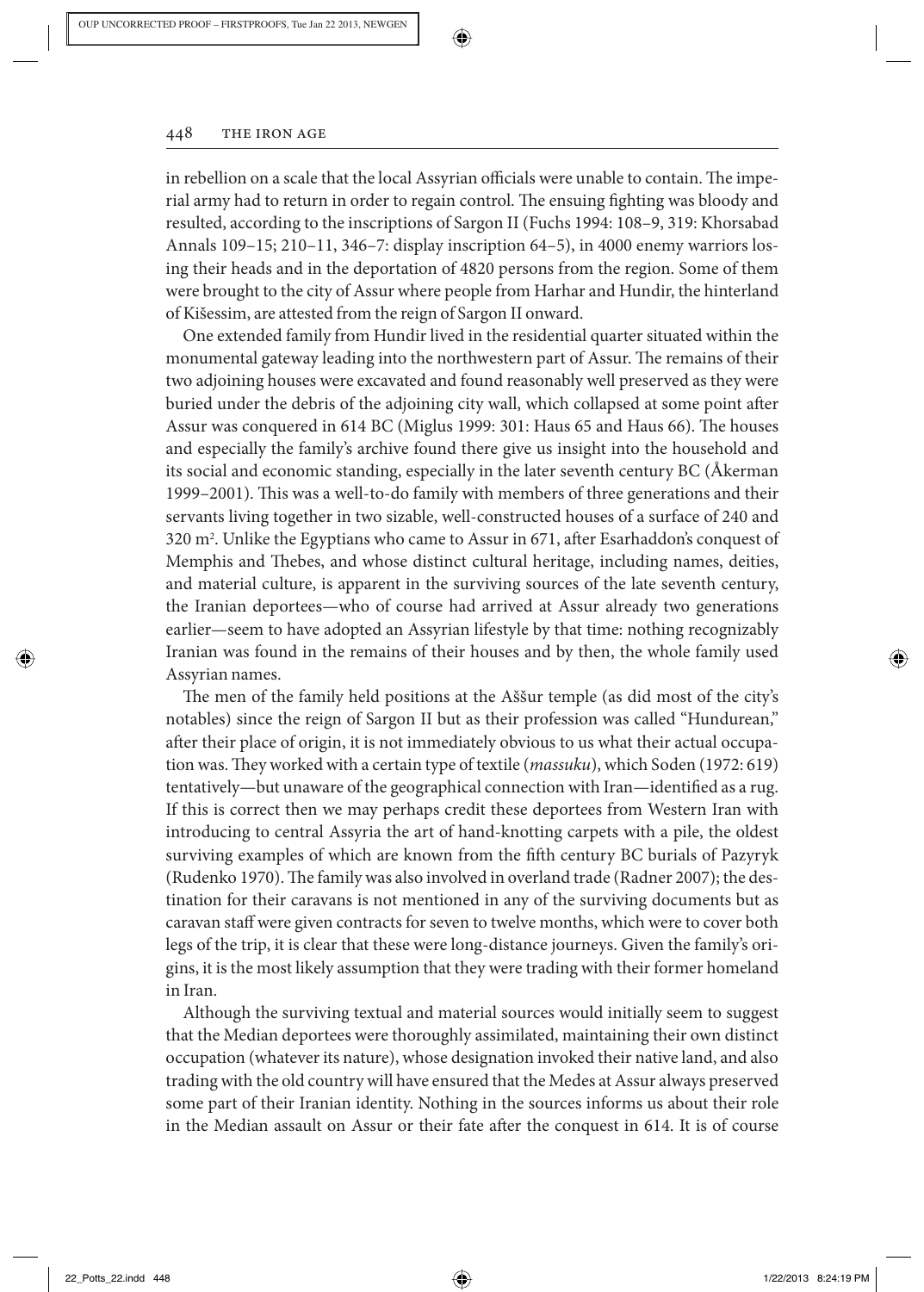

in rebellion on a scale that the local Assyrian officials were unable to contain. The imperial army had to return in order to regain control. The ensuing fighting was bloody and resulted, according to the inscriptions of Sargon II (Fuchs 1994: 108–9, 319: Khorsabad Annals 109–15; 210–11, 346–7: display inscription 64–5), in 4000 enemy warriors losing their heads and in the deportation of 4820 persons from the region. Some of them were brought to the city of Assur where people from Harhar and Hundir, the hinterland of Kišessim, are attested from the reign of Sargon II onward.

⊕

 One extended family from Hundir lived in the residential quarter situated within the monumental gateway leading into the northwestern part of Assur. The remains of their two adjoining houses were excavated and found reasonably well preserved as they were buried under the debris of the adjoining city wall, which collapsed at some point after Assur was conquered in 614 BC (Miglus 1999: 301: Haus 65 and Haus 66). The houses and especially the family's archive found there give us insight into the household and its social and economic standing, especially in the later seventh century BC ( Å kerman 1999–2001). This was a well-to-do family with members of three generations and their servants living together in two sizable, well-constructed houses of a surface of 240 and 320 m<sup>2</sup>. Unlike the Egyptians who came to Assur in 671, after Esarhaddon's conquest of Memphis and Thebes, and whose distinct cultural heritage, including names, deities, and material culture, is apparent in the surviving sources of the late seventh century, the Iranian deportees—who of course had arrived at Assur already two generations earlier—seem to have adopted an Assyrian lifestyle by that time: nothing recognizably Iranian was found in the remains of their houses and by then, the whole family used Assyrian names.

The men of the family held positions at the Aššur temple (as did most of the city's notables) since the reign of Sargon II but as their profession was called "Hundurean," after their place of origin, it is not immediately obvious to us what their actual occupation was. They worked with a certain type of textile (*massuku*), which Soden (1972: 619) tentatively—but unaware of the geographical connection with Iran—identified as a rug. If this is correct then we may perhaps credit these deportees from Western Iran with introducing to central Assyria the art of hand-knotting carpets with a pile, the oldest surviving examples of which are known from the fifth century BC burials of Pazyryk (Rudenko 1970). The family was also involved in overland trade (Radner 2007); the destination for their caravans is not mentioned in any of the surviving documents but as caravan staff were given contracts for seven to twelve months, which were to cover both legs of the trip, it is clear that these were long-distance journeys. Given the family's origins, it is the most likely assumption that they were trading with their former homeland in Iran.

 Although the surviving textual and material sources would initially seem to suggest that the Median deportees were thoroughly assimilated, maintaining their own distinct occupation (whatever its nature), whose designation invoked their native land, and also trading with the old country will have ensured that the Medes at Assur always preserved some part of their Iranian identity. Nothing in the sources informs us about their role in the Median assault on Assur or their fate after the conquest in 614. It is of course ↔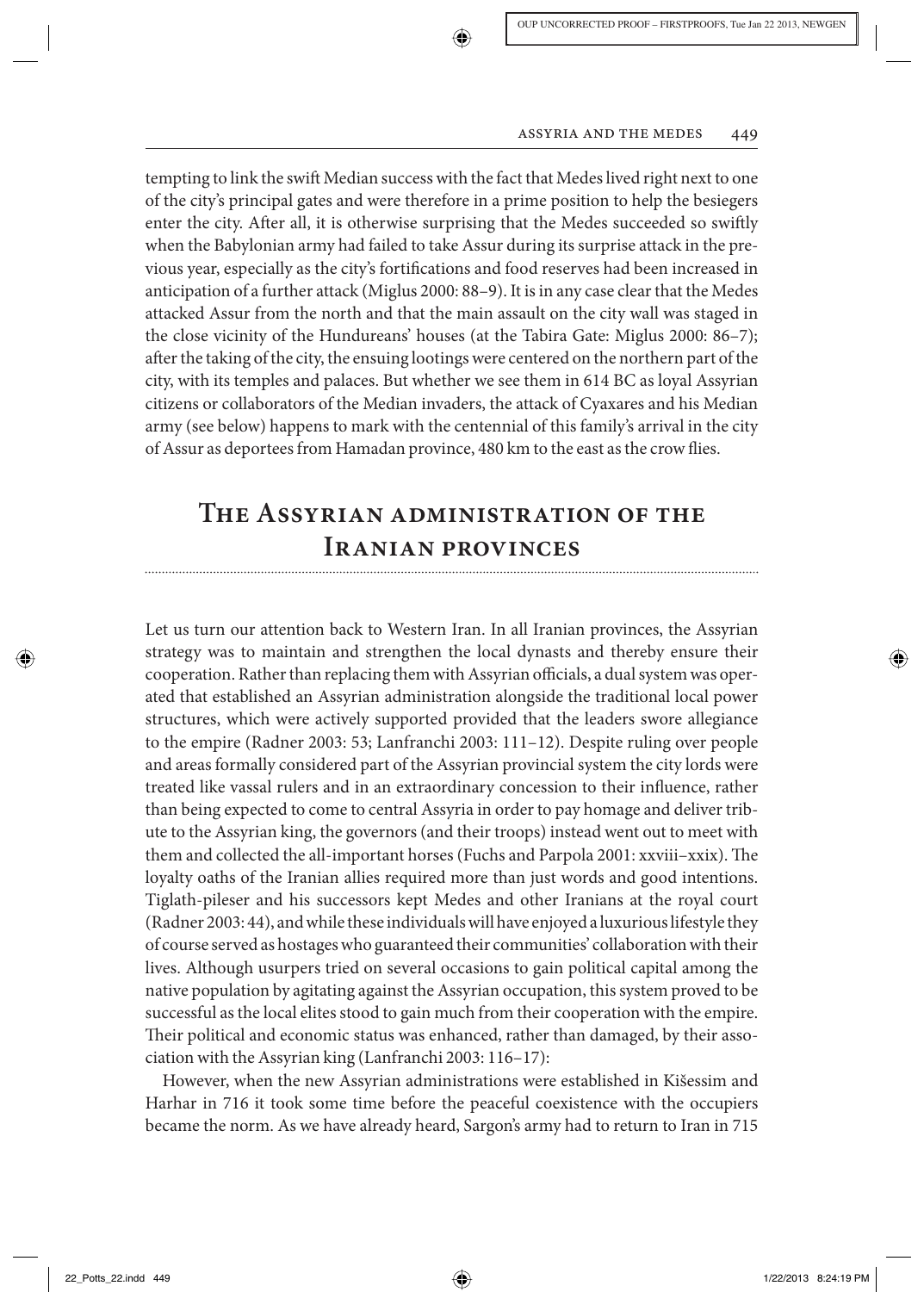tempting to link the swift Median success with the fact that Medes lived right next to one of the city's principal gates and were therefore in a prime position to help the besiegers enter the city. After all, it is otherwise surprising that the Medes succeeded so swiftly when the Babylonian army had failed to take Assur during its surprise attack in the previous year, especially as the city's fortifications and food reserves had been increased in anticipation of a further attack (Miglus 2000: 88–9). It is in any case clear that the Medes attacked Assur from the north and that the main assault on the city wall was staged in the close vicinity of the Hundureans' houses (at the Tabira Gate: Miglus 2000: 86–7); after the taking of the city, the ensuing lootings were centered on the northern part of the city, with its temples and palaces. But whether we see them in 614 BC as loyal Assyrian citizens or collaborators of the Median invaders, the attack of Cyaxares and his Median army (see below) happens to mark with the centennial of this family's arrival in the city of Assur as deportees from Hamadan province, 480 km to the east as the crow flies.

# **The Assyrian administration of the Iranian provinces**

 Let us turn our attention back to Western Iran. In all Iranian provinces, the Assyrian strategy was to maintain and strengthen the local dynasts and thereby ensure their cooperation. Rather than replacing them with Assyrian officials, a dual system was operated that established an Assyrian administration alongside the traditional local power structures, which were actively supported provided that the leaders swore allegiance to the empire (Radner 2003: 53; Lanfranchi 2003: 111–12). Despite ruling over people and areas formally considered part of the Assyrian provincial system the city lords were treated like vassal rulers and in an extraordinary concession to their influence, rather than being expected to come to central Assyria in order to pay homage and deliver tribute to the Assyrian king, the governors (and their troops) instead went out to meet with them and collected the all-important horses (Fuchs and Parpola 2001: xxviii–xxix). The loyalty oaths of the Iranian allies required more than just words and good intentions. Tiglath-pileser and his successors kept Medes and other Iranians at the royal court (Radner 2003: 44), and while these individuals will have enjoyed a luxurious lifestyle they of course served as hostages who guaranteed their communities' collaboration with their lives. Although usurpers tried on several occasions to gain political capital among the native population by agitating against the Assyrian occupation, this system proved to be successful as the local elites stood to gain much from their cooperation with the empire. Their political and economic status was enhanced, rather than damaged, by their association with the Assyrian king (Lanfranchi 2003: 116–17):

However, when the new Assyrian administrations were established in Kišessim and Harhar in 716 it took some time before the peaceful coexistence with the occupiers became the norm. As we have already heard, Sargon's army had to return to Iran in 715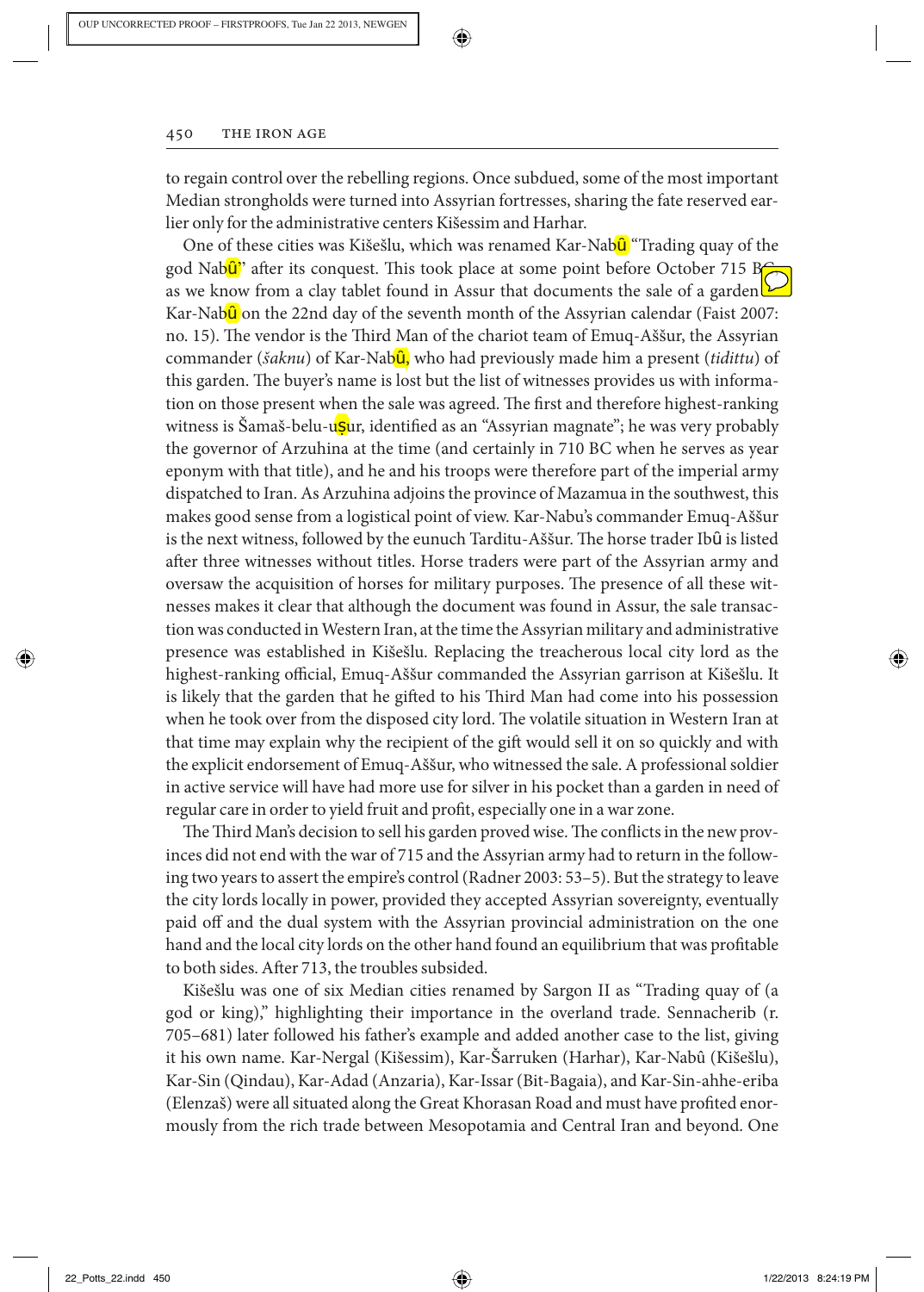#### 450 THE IRON AGE

to regain control over the rebelling regions. Once subdued, some of the most important Median strongholds were turned into Assyrian fortresses, sharing the fate reserved earlier only for the administrative centers Kišessim and Harhar.

⊕

One of these cities was Kišešlu, which was renamed Kar-Nabû<sup>"</sup> Trading quay of the god Nab $\hat{\mathbf{u}}$  after its conquest. This took place at some point before October 715 B $\epsilon$ as we know from a clay tablet found in Assur that documents the sale of a garden  $E$ Kar-Nab $\hat{u}$  on the 22nd day of the seventh month of the Assyrian calendar (Faist 2007: no. 15). The vendor is the Third Man of the chariot team of Emuq-Aššur, the Assyrian commander (*šaknu*) of Kar-Nabû, who had previously made him a present (*tidittu*) of this garden. The buyer's name is lost but the list of witnesses provides us with information on those present when the sale was agreed. The first and therefore highest-ranking witness is Šamaš-belu-u<mark>ṣ</mark>ur, identified as an "Assyrian magnate"; he was very probably the governor of Arzuhina at the time (and certainly in 710 BC when he serves as year eponym with that title), and he and his troops were therefore part of the imperial army dispatched to Iran. As Arzuhina adjoins the province of Mazamua in the southwest, this makes good sense from a logistical point of view. Kar-Nabu's commander Emuq-Aššur is the next witness, followed by the eunuch Tarditu-Aššur. The horse trader Ibû is listed after three witnesses without titles. Horse traders were part of the Assyrian army and oversaw the acquisition of horses for military purposes. The presence of all these witnesses makes it clear that although the document was found in Assur, the sale transaction was conducted in Western Iran, at the time the Assyrian military and administrative presence was established in Kišešlu. Replacing the treacherous local city lord as the highest-ranking official, Emuq-Aššur commanded the Assyrian garrison at Kišešlu. It is likely that the garden that he gifted to his Third Man had come into his possession when he took over from the disposed city lord. The volatile situation in Western Iran at that time may explain why the recipient of the gift would sell it on so quickly and with the explicit endorsement of Emuq-Aššur, who witnessed the sale. A professional soldier in active service will have had more use for silver in his pocket than a garden in need of regular care in order to yield fruit and profit, especially one in a war zone.

The Third Man's decision to sell his garden proved wise. The conflicts in the new provinces did not end with the war of 715 and the Assyrian army had to return in the following two years to assert the empire's control (Radner 2003: 53–5). But the strategy to leave the city lords locally in power, provided they accepted Assyrian sovereignty, eventually paid off and the dual system with the Assyrian provincial administration on the one hand and the local city lords on the other hand found an equilibrium that was profitable to both sides. After 713, the troubles subsided.

Kišešlu was one of six Median cities renamed by Sargon II as "Trading quay of (a god or king)," highlighting their importance in the overland trade. Sennacherib (r. 705–681) later followed his father's example and added another case to the list, giving it his own name. Kar-Nergal (Kišessim), Kar-Šarruken (Harhar), Kar-Nabû (Kišešlu), Kar-Sin (Qindau), Kar-Adad (Anzaria), Kar-Issar (Bit-Bagaia), and Kar-Sin-ahhe-eriba (Elenzaš) were all situated along the Great Khorasan Road and must have profited enormously from the rich trade between Mesopotamia and Central Iran and beyond. One

⊕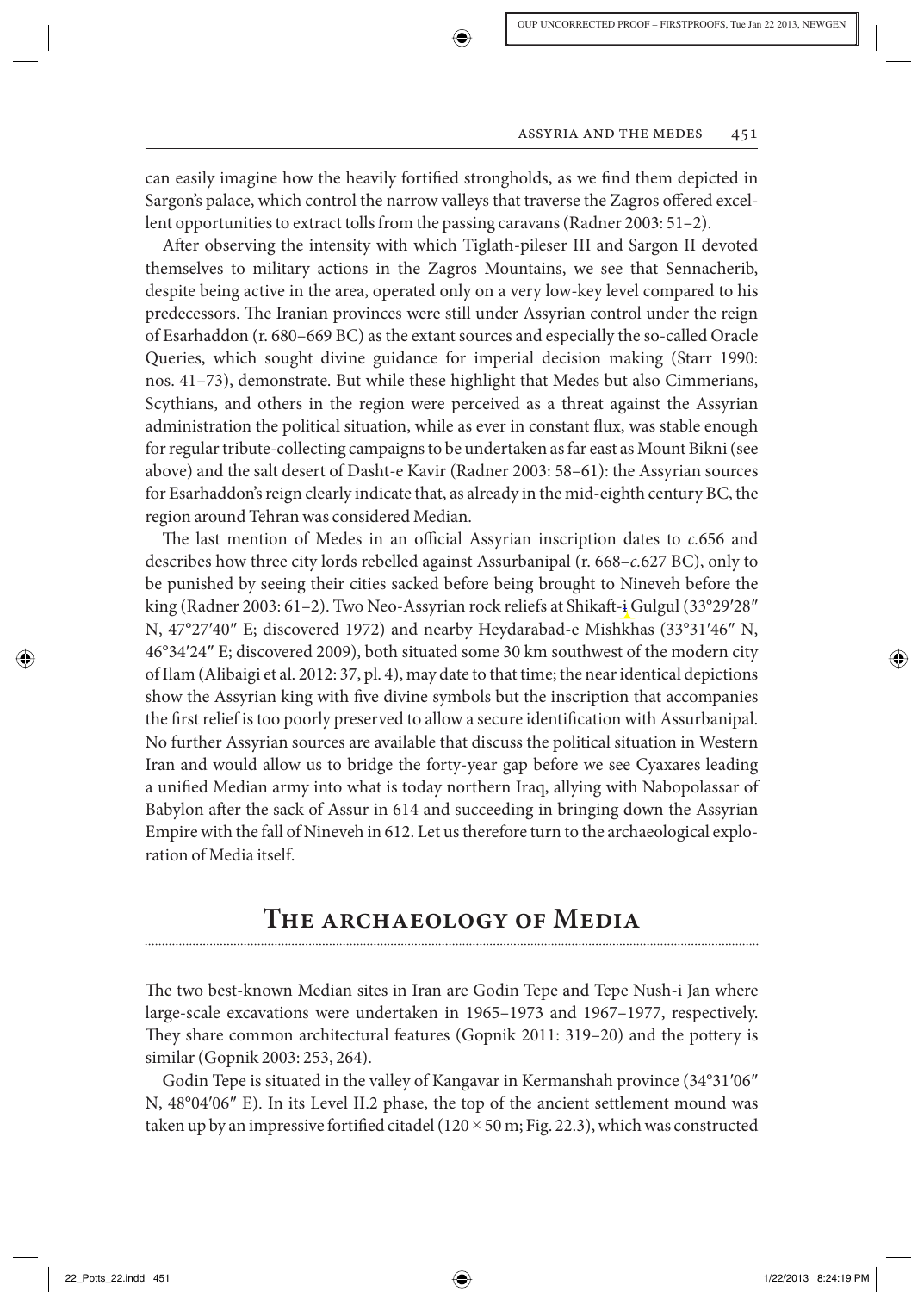can easily imagine how the heavily fortified strongholds, as we find them depicted in Sargon's palace, which control the narrow valleys that traverse the Zagros offered excellent opportunities to extract tolls from the passing caravans (Radner 2003: 51–2).

After observing the intensity with which Tiglath-pileser III and Sargon II devoted themselves to military actions in the Zagros Mountains, we see that Sennacherib, despite being active in the area, operated only on a very low-key level compared to his predecessors. The Iranian provinces were still under Assyrian control under the reign of Esarhaddon (r. 680–669 BC) as the extant sources and especially the so-called Oracle Queries, which sought divine guidance for imperial decision making (Starr 1990: nos. 41–73), demonstrate. But while these highlight that Medes but also Cimmerians, Scythians, and others in the region were perceived as a threat against the Assyrian administration the political situation, while as ever in constant flux, was stable enough for regular tribute-collecting campaigns to be undertaken as far east as Mount Bikni (see above) and the salt desert of Dasht-e Kavir (Radner 2003: 58–61): the Assyrian sources for Esarhaddon's reign clearly indicate that, as already in the mid-eighth century BC, the region around Tehran was considered Median.

The last mention of Medes in an official Assyrian inscription dates to *c*. 656 and describes how three city lords rebelled against Assurbanipal (r. 668– *c.* 627 BC), only to be punished by seeing their cities sacked before being brought to Nineveh before the king (Radner 2003: 61–2). Two Neo-Assyrian rock reliefs at Shikaft-i Gulgul (33°29'28" N,  $47^{\circ}27'40''$  E; discovered 1972) and nearby Heydarabad-e Mishkhas  $(33^{\circ}31'46''$  N, 46°34 ′ 24 ″ E; discovered 2009), both situated some 30 km southwest of the modern city of Ilam (Alibaigi et al. 2012: 37, pl. 4), may date to that time; the near identical depictions show the Assyrian king with five divine symbols but the inscription that accompanies the first relief is too poorly preserved to allow a secure identification with Assurbanipal. No further Assyrian sources are available that discuss the political situation in Western Iran and would allow us to bridge the forty-year gap before we see Cyaxares leading a unified Median army into what is today northern Iraq, allying with Nabopolassar of Babylon after the sack of Assur in 614 and succeeding in bringing down the Assyrian Empire with the fall of Nineveh in 612. Let us therefore turn to the archaeological exploration of Media itself.

### **The archaeology of Media**

The two best-known Median sites in Iran are Godin Tepe and Tepe Nush-i Jan where large-scale excavations were undertaken in 1965–1973 and 1967–1977, respectively. They share common architectural features (Gopnik 2011: 319–20) and the pottery is similar (Gopnik 2003: 253, 264).

Godin Tepe is situated in the valley of Kangavar in Kermanshah province (34°31'06" N, 48°04′06″ E). In its Level II.2 phase, the top of the ancient settlement mound was taken up by an impressive fortified citadel ( $120 \times 50$  m; Fig. 22.3), which was constructed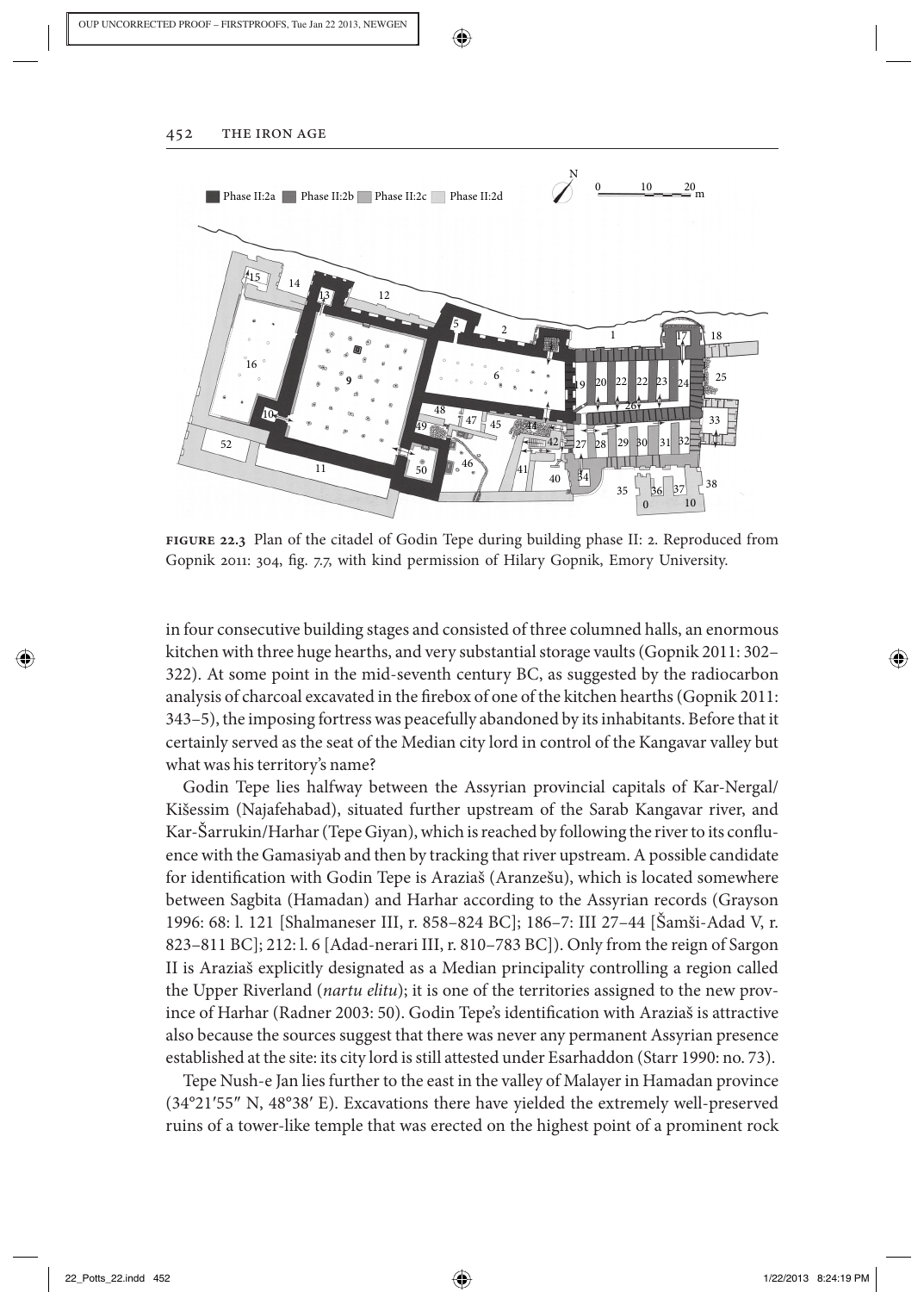452 THE IRON AGE



❀

**figure 22.3** Plan of the citadel of Godin Tepe during building phase II: 2. Reproduced from Gopnik 2011: 304, fig. 7.7, with kind permission of Hilary Gopnik, Emory University.

in four consecutive building stages and consisted of three columned halls, an enormous kitchen with three huge hearths, and very substantial storage vaults (Gopnik 2011: 302– 322). At some point in the mid-seventh century BC, as suggested by the radiocarbon analysis of charcoal excavated in the firebox of one of the kitchen hearths (Gopnik 2011: 343–5), the imposing fortress was peacefully abandoned by its inhabitants. Before that it certainly served as the seat of the Median city lord in control of the Kangavar valley but what was his territory's name?

 Godin Tepe lies halfway between the Assyrian provincial capitals of Kar-Nergal/ Kišessim (Najafehabad), situated further upstream of the Sarab Kangavar river, and Kar-Šarrukin/Harhar (Tepe Giyan), which is reached by following the river to its confluence with the Gamasiyab and then by tracking that river upstream. A possible candidate for identification with Godin Tepe is Araziaš (Aranzešu), which is located somewhere between Sagbita (Hamadan) and Harhar according to the Assyrian records (Grayson 1996: 68: l. 121 [Shalmaneser III, r. 858–824 BC]; 186–7: III 27–44 [Šamši-Adad V, r. 823–811 BC]; 212: l. 6 [Adad-nerari III, r. 810–783 BC]). Only from the reign of Sargon II is Arazia i explicitly designated as a Median principality controlling a region called the Upper Riverland ( *nartu elitu* ); it is one of the territories assigned to the new province of Harhar (Radner 2003: 50). Godin Tepe's identification with Araziaš is attractive also because the sources suggest that there was never any permanent Assyrian presence established at the site: its city lord is still attested under Esarhaddon (Starr 1990: no. 73).

 Tepe Nush-e Jan lies further to the east in the valley of Malayer in Hamadan province (34°21 ′ 55 ″ N, 48°38 ′ E). Excavations there have yielded the extremely well-preserved ruins of a tower-like temple that was erected on the highest point of a prominent rock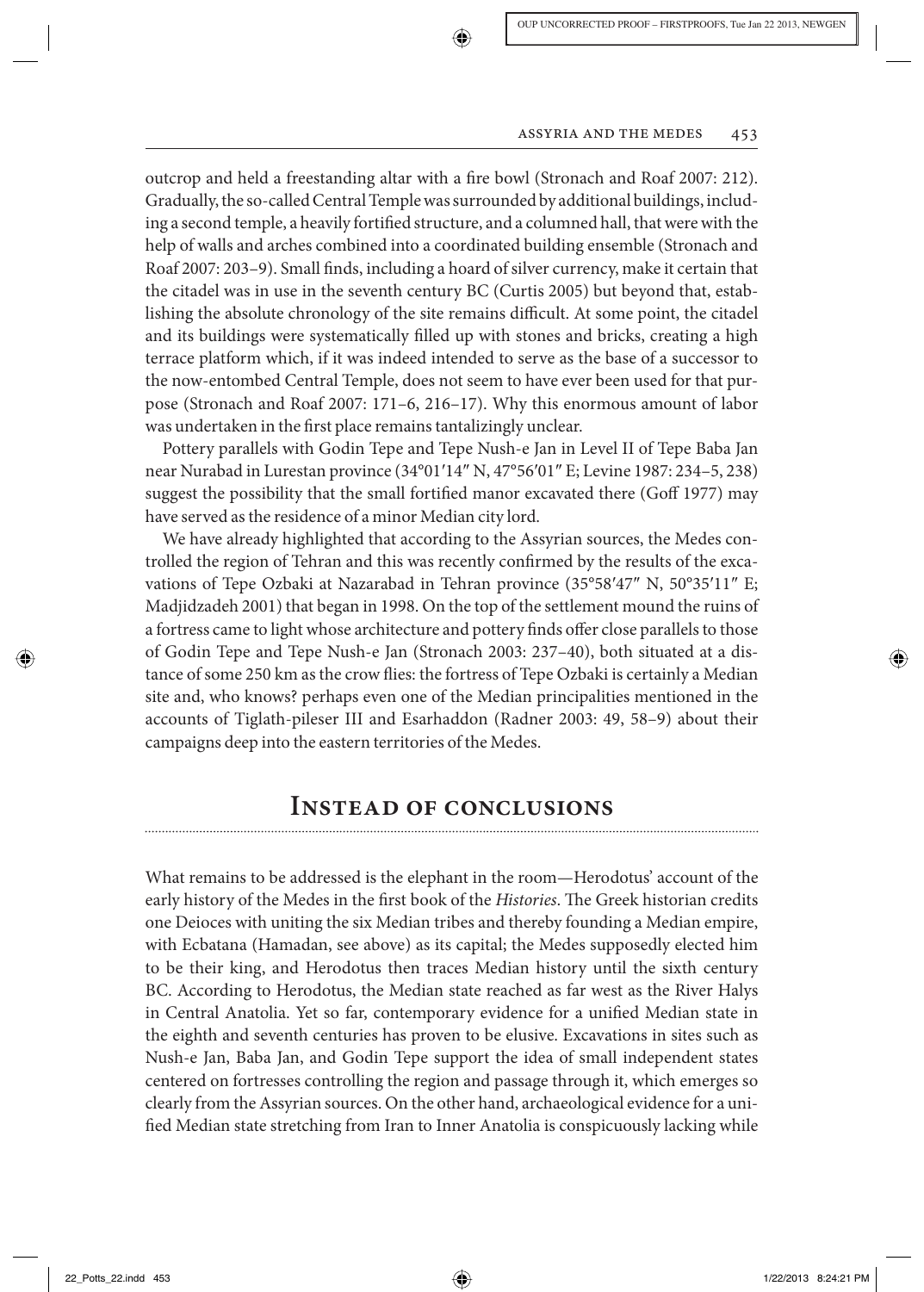outcrop and held a freestanding altar with a fire bowl (Stronach and Roaf 2007: 212). Gradually, the so-called Central Temple was surrounded by additional buildings, including a second temple, a heavily fortified structure, and a columned hall, that were with the help of walls and arches combined into a coordinated building ensemble (Stronach and Roaf 2007: 203-9). Small finds, including a hoard of silver currency, make it certain that the citadel was in use in the seventh century BC (Curtis 2005) but beyond that, establishing the absolute chronology of the site remains difficult. At some point, the citadel and its buildings were systematically filled up with stones and bricks, creating a high terrace platform which, if it was indeed intended to serve as the base of a successor to the now-entombed Central Temple, does not seem to have ever been used for that purpose (Stronach and Roaf 2007: 171–6, 216–17). Why this enormous amount of labor was undertaken in the first place remains tantalizingly unclear.

 Pottery parallels with Godin Tepe and Tepe Nush-e Jan in Level II of Tepe Baba Jan near Nurabad in Lurestan province (34°01 ′ 14 ″ N, 47°56 ′ 01 ″ E; Levine 1987: 234–5, 238) suggest the possibility that the small fortified manor excavated there (Goff 1977) may have served as the residence of a minor Median city lord.

 We have already highlighted that according to the Assyrian sources, the Medes controlled the region of Tehran and this was recently confirmed by the results of the excavations of Tepe Ozbaki at Nazarabad in Tehran province (35°58'47" N, 50°35'11" E; Madjidzadeh 2001) that began in 1998. On the top of the settlement mound the ruins of a fortress came to light whose architecture and pottery finds offer close parallels to those of Godin Tepe and Tepe Nush-e Jan (Stronach 2003: 237–40), both situated at a distance of some 250 km as the crow flies: the fortress of Tepe Ozbaki is certainly a Median site and, who knows? perhaps even one of the Median principalities mentioned in the accounts of Tiglath-pileser III and Esarhaddon (Radner 2003: 49, 58–9) about their campaigns deep into the eastern territories of the Medes.

### **Instead of conclusions**

 What remains to be addressed is the elephant in the room—Herodotus' account of the early history of the Medes in the first book of the *Histories*. The Greek historian credits one Deioces with uniting the six Median tribes and thereby founding a Median empire, with Ecbatana (Hamadan, see above) as its capital; the Medes supposedly elected him to be their king, and Herodotus then traces Median history until the sixth century BC. According to Herodotus, the Median state reached as far west as the River Halys in Central Anatolia. Yet so far, contemporary evidence for a unified Median state in the eighth and seventh centuries has proven to be elusive. Excavations in sites such as Nush-e Jan, Baba Jan, and Godin Tepe support the idea of small independent states centered on fortresses controlling the region and passage through it, which emerges so clearly from the Assyrian sources. On the other hand, archaeological evidence for a unified Median state stretching from Iran to Inner Anatolia is conspicuously lacking while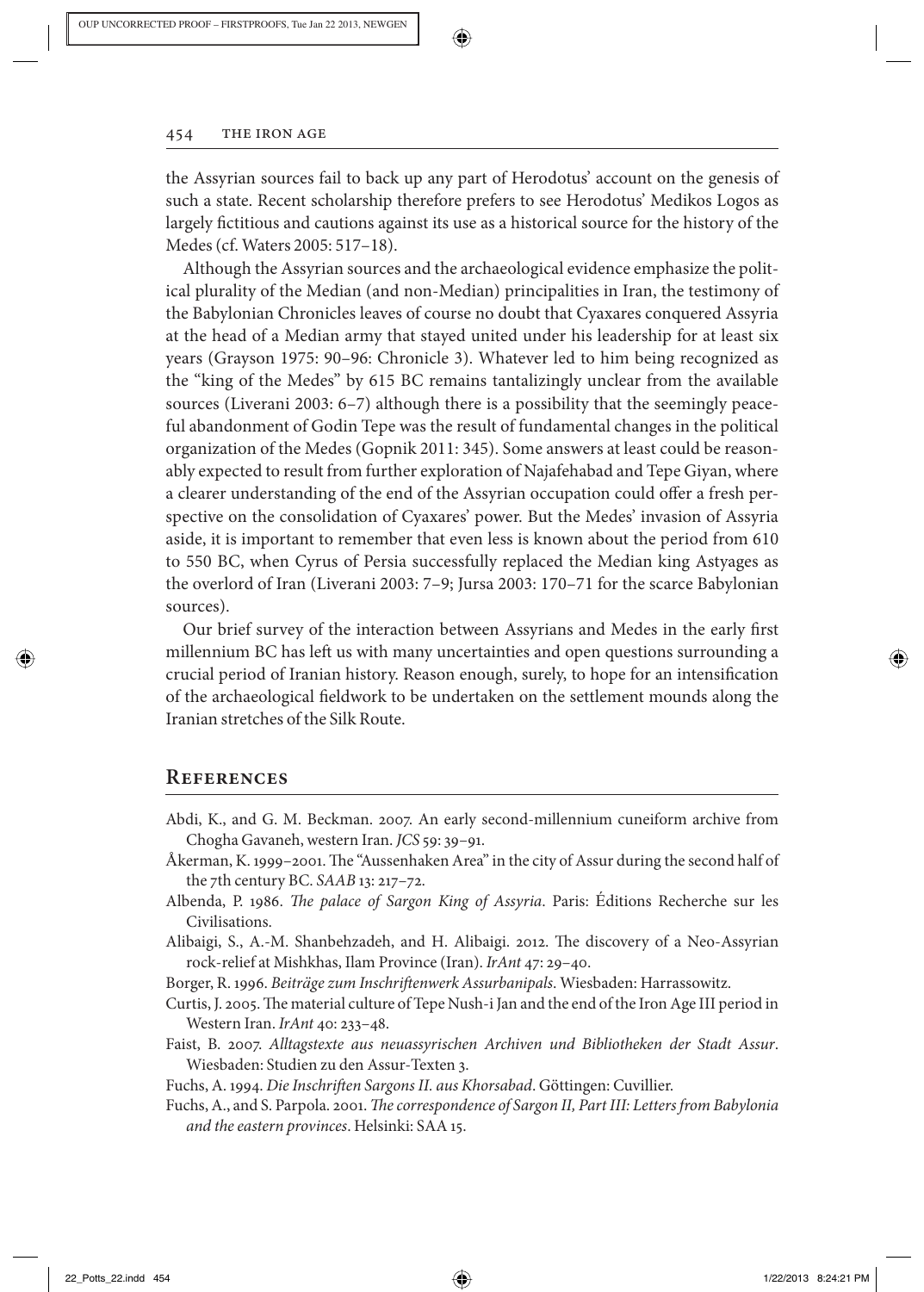

the Assyrian sources fail to back up any part of Herodotus' account on the genesis of such a state. Recent scholarship therefore prefers to see Herodotus' Medikos Logos as largely fictitious and cautions against its use as a historical source for the history of the Medes (cf. Waters 2005: 517–18).

 Although the Assyrian sources and the archaeological evidence emphasize the political plurality of the Median (and non-Median) principalities in Iran, the testimony of the Babylonian Chronicles leaves of course no doubt that Cyaxares conquered Assyria at the head of a Median army that stayed united under his leadership for at least six years (Grayson 1975: 90–96: Chronicle 3). Whatever led to him being recognized as the "king of the Medes" by 615 BC remains tantalizingly unclear from the available sources (Liverani 2003: 6–7) although there is a possibility that the seemingly peaceful abandonment of Godin Tepe was the result of fundamental changes in the political organization of the Medes (Gopnik 2011: 345). Some answers at least could be reasonably expected to result from further exploration of Najafehabad and Tepe Giyan, where a clearer understanding of the end of the Assyrian occupation could offer a fresh perspective on the consolidation of Cyaxares' power. But the Medes' invasion of Assyria aside, it is important to remember that even less is known about the period from 610 to 550 BC, when Cyrus of Persia successfully replaced the Median king Astyages as the overlord of Iran (Liverani 2003: 7–9; Jursa 2003: 170–71 for the scarce Babylonian sources).

Our brief survey of the interaction between Assyrians and Medes in the early first millennium BC has left us with many uncertainties and open questions surrounding a crucial period of Iranian history. Reason enough, surely, to hope for an intensification of the archaeological fieldwork to be undertaken on the settlement mounds along the Iranian stretches of the Silk Route.

#### **References**

- Abdi, K., and G. M. Beckman. 2007. An early second-millennium cuneiform archive from Chogha Gavaneh, western Iran. *JCS* 59: 39-91.
- Åkerman, K. 1999–2001. The "Aussenhaken Area" in the city of Assur during the second half of the 7th century BC. *SAAB* 13: 217-72.
- Albenda, P. 1986. *The palace of Sargon King of Assyria*. Paris: Éditions Recherche sur les Civilisations.
- Alibaigi, S., A.-M. Shanbehzadeh, and H. Alibaigi. 2012. The discovery of a Neo-Assyrian rock-relief at Mishkhas, Ilam Province (Iran) . *IrAnt* 47 : 29–40 .

Borger, R. 1996. Beiträge zum Inschriftenwerk Assurbanipals. Wiesbaden: Harrassowitz.

- Curtis, J. 2005. The material culture of Tepe Nush-i Jan and the end of the Iron Age III period in Western Iran. *IrAnt* 40: 233-48.
- Faist , B. 2007 . *Alltagstexte aus neuassyrischen Archiven und Bibliotheken der Stadt Assur* . Wiesbaden: Studien zu den Assur-Texten 3.

Fuchs, A. 1994. *Die Inschriften Sargons II. aus Khorsabad*. Göttingen: Cuvillier.

Fuchs, A., and S. Parpola. 2001. *The correspondence of Sargon II, Part III: Letters from Babylonia* and the eastern provinces. Helsinki: SAA 15.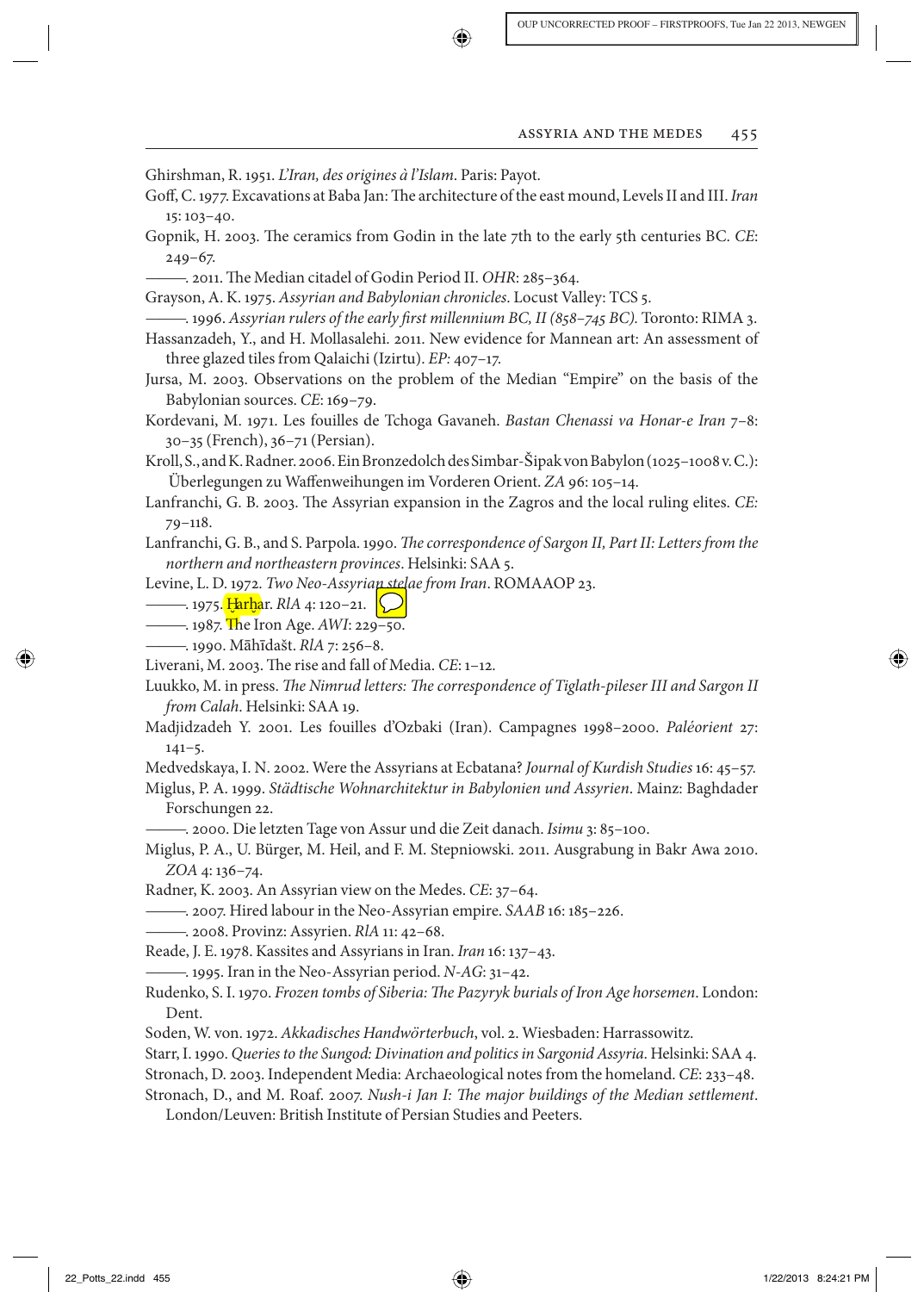Ghirshman, R. 1951. *L'Iran, des origines à l'Islam*. Paris: Payot.

- Goff, C. 1977. Excavations at Baba Jan: The architecture of the east mound, Levels II and III. *Iran*  $15:103 - 40.$
- Gopnik, H. 2003. The ceramics from Godin in the late 7th to the early 5th centuries BC. CE:  $249 - 67$ .
- ——— . 2011 . Th e Median citadel of Godin Period II . *OHR* : 285–364 .

Grayson, A. K. 1975. *Assyrian and Babylonian chronicles*. Locust Valley: TCS 5.

——— . 1996 . *Assyrian rulers of the early fi rst millennium BC, II (858–745 BC).* Toronto : RIMA 3 .

Hassanzadeh, Y., and H. Mollasalehi. 2011. New evidence for Mannean art: An assessment of three glazed tiles from Qalaichi (Izirtu). *EP*: 407-17.

- Jursa , M. 2003 . Observations on the problem of the Median "Empire" on the basis of the Babylonian sources. CE: 169-79.
- Kordevani, M. 1971. Les fouilles de Tchoga Gavaneh. *Bastan Chenassi va Honar-e Iran* 7-8: 30–35 (French), 36–71 (Persian).
- Kroll, S., and K. Radner. 2006. Ein Bronzedolch des Simbar-Šipak von Babylon (1025-1008 v. C.): Überlegungen zu Waffenweihungen im Vorderen Orient. ZA 96: 105–14.
- Lanfranchi, G. B. 2003. The Assyrian expansion in the Zagros and the local ruling elites. CE:  $79 - 118.$
- Lanfranchi, G. B., and S. Parpola. 1990. *The correspondence of Sargon II, Part II: Letters from the* northern and northeastern provinces. Helsinki: SAA 5.
- Levine, L. D. 1972. *Two Neo-Assyrian stelae from Iran*. ROMAAOP 23.
- ——— . 1975. <mark>Harb</mark>ar. *RlA* 4: 120–21.<br>1987 The Iron Age, 4WL 22
- . 1987. The Iron Age. *AWI*: 229–50.
- ——— . 1990 . M ā h ī da š t . *RlA* 7 : 256–8 .

Liverani, M. 2003. The rise and fall of Media. CE: 1-12.

Luukko, M. in press. *The Nimrud letters: The correspondence of Tiglath-pileser III and Sargon II from Calah.* Helsinki: SAA 19.

- Madjidzadeh Y. 2001. Les fouilles d'Ozbaki (Iran). Campagnes 1998–2000. Paléorient 27:  $141 - 5.$
- Medvedskaya , I. N. 2002 . Were the Assyrians at Ecbatana? *Journal of Kurdish Studies* 16 : 45–57 .

 Miglus , P. A. 1999 . *St ä dtische Wohnarchitektur in Babylonien und Assyrien* . Mainz : Baghdader Forschungen 22.

—. 2000. Die letzten Tage von Assur und die Zeit danach. *Isimu* 3: 85–100.

Miglus, P. A., U. Bürger, M. Heil, and F. M. Stepniowski. 2011. Ausgrabung in Bakr Awa 2010. *ZOA* 4: 136-74.

Radner, K. 2003. An Assyrian view on the Medes. *CE*: 37-64.

- ——— . 2007 . Hired labour in the Neo-Assyrian empire . *SAAB* 16 : 185–226 .
- ——— . 2008 . Provinz: Assyrien . *RlA* 11 : 42–68 .

Reade, J. E. 1978. Kassites and Assyrians in Iran. *Iran* 16: 137-43.

——— . 1995 . Iran in the Neo-Assyrian period . *N-AG* : 31–42 .

- Rudenko, S. I. 1970. *Frozen tombs of Siberia: The Pazyryk burials of Iron Age horsemen*. London: Dent.
- Soden , W. von. 1972 . *Akkadisches Handw ö rterbuch* , vol. 2. Wiesbaden : Harrassowitz .

Starr, I. 1990. *Queries to the Sungod: Divination and politics in Sargonid Assyria. Helsinki: SAA 4.* 

Stronach, D. 2003. Independent Media: Archaeological notes from the homeland. *CE*: 233-48.

Stronach, D., and M. Roaf. 2007. *Nush-i Jan I: The major buildings of the Median settlement*. London/Leuven: British Institute of Persian Studies and Peeters.